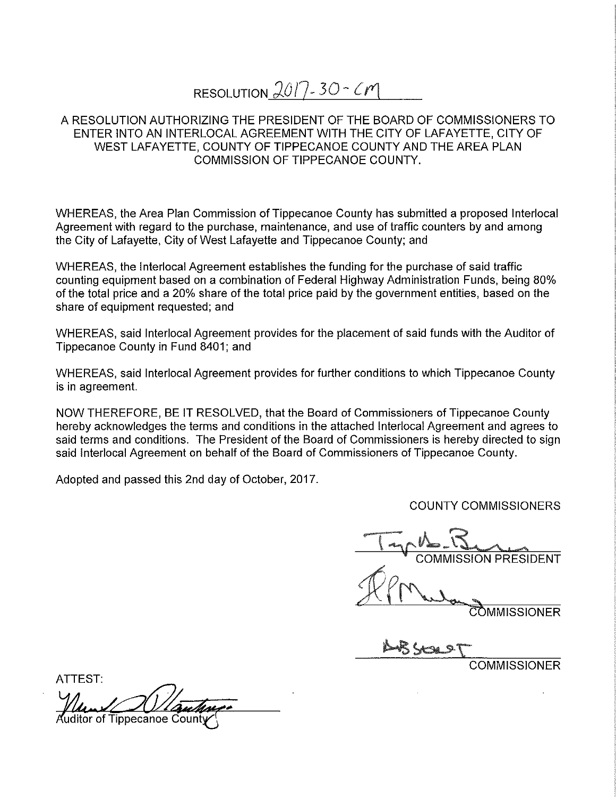## RESOLUTION  $2017 - 30 - C$

## A RESOLUTION AUTHORIZING THE PRESIDENT OF THE BOARD OF COMMISSIONERS TO ENTER INTO AN INTERLOCAL AGREEMENT WITH THE CITY OF LAFAYETTE, CITY OF WEST LAFAYETTE, COUNTY OF TIPPECANOE COUNTY AND THE AREA PLAN COMMISSION OF TIPPECANOE COUNTY.

WHEREAS, the Area Plan Commission of Tippecanoe County has submitted <sup>a</sup> proposed Interlocal Agreement with regard to the purchase, maintenance, and use of traffic counters by and among the City of Lafayette, City of West Lafayette and Tippecanoe County; and

WHEREAS, the Interlocal Agreement establishes the funding for the purchase of said traffic counting equipment based on <sup>a</sup> combination of Federal Highway Administration Funds, being 80% of the total price and <sup>a</sup> 20% Share of the total price paid by the government entities, based on the share of equipment requested; and

WHEREAS, said Interlocal Agreement provides for the placement of said funds with the Auditor of Tippecanoe County in Fund 8401; and

WHEREAS, said Interlocal Agreement provides for further conditions to which Tippecanoe County is in agreement.

NOW THEREFORE, BE IT RESOLVED, that the Board of Commissioners of Tippecanoe County hereby acknowledges the terms and conditions in the attached Interlocal Agreement and agrees to said terms and conditions. The President of the Board of Commissioners is hereby directed to sign said Interlocal Agreement on behalf of the Board of Commissioners of Tippecanoe County.

Adopted and passed this 2nd day of October, 2017.

COUNTY COMMISSIONERS

"A a March 1 and 1 and 1 and 1 and 1 and 1 and 1 and 1 and 1 and 1 and 1 and 1 and 1 and 1 and 1 and 1 and 1 and 1 and 1 and 1 and 1 and 1 and 1 and 1 and 1 and 1 and 1 and 1 and 1 and 1 and 1 and 1 and 1 and 1 and 1 and 1 COMMISSION PRESIDENT

**OMMISSIONER** 

COMMISSIONER

ATTEST: \*

uditor of Tippecanoe Cour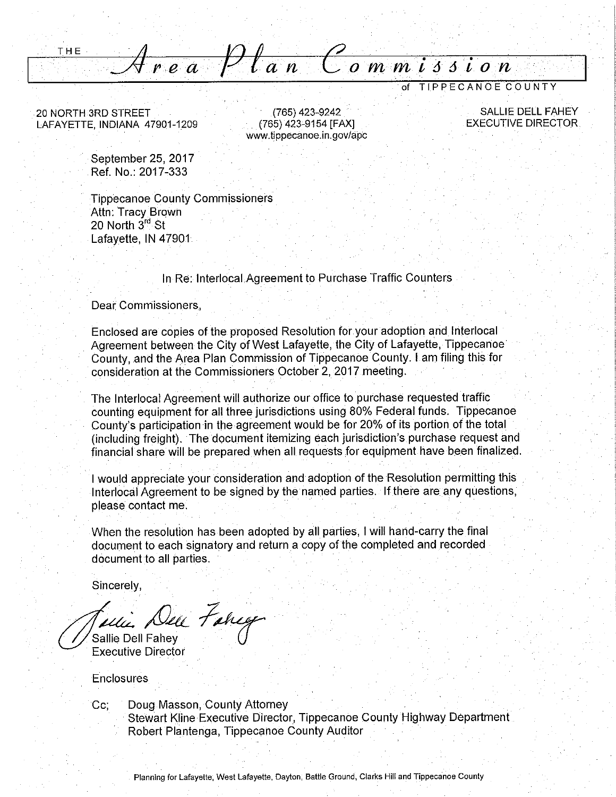$\overleftarrow{c}$  ommission  $\frac{1}{r}$ ea  $\frac{1}{r}$ lan

of TIPPECANOE COUNTY

20 NORTH 3RD STREET LAFAYETTE, INDIANA 47901-1209

THE

(765) 423-9242 (765) 423-9154 [FAX] www.tippecanoe.in.gov/apc

**SALLIE DELL FAHEY EXECUTIVE DIRECTOR** 

September 25, 2017 Ref. No.: 2017-333

**Tippecanoe County Commissioners** Attn: Tracy Brown 20 North 3rd St Lafayette, IN 47901

## In Re: Interlocal Agreement to Purchase Traffic Counters

Dear Commissioners.

Enclosed are copies of the proposed Resolution for your adoption and Interlocal Agreement between the City of West Lafayette, the City of Lafayette, Tippecanoe County, and the Area Plan Commission of Tippecanoe County. I am filing this for consideration at the Commissioners October 2, 2017 meeting.

The Interlocal Agreement will authorize our office to purchase requested traffic counting equipment for all three jurisdictions using 80% Federal funds. Tippecanoe County's participation in the agreement would be for 20% of its portion of the total (including freight). The document itemizing each jurisdiction's purchase request and financial share will be prepared when all requests for equipment have been finalized.

I would appreciate your consideration and adoption of the Resolution permitting this Interlocal Agreement to be signed by the named parties. If there are any questions, please contact me.

When the resolution has been adopted by all parties, I will hand-carry the final document to each signatory and return a copy of the completed and recorded document to all parties.

Sincerely,

Deu Fancy

Sallie Dell Fahev **Executive Director** 

Enclosures

 $Cc$ 

Doug Masson, County Attorney Stewart Kline Executive Director, Tippecanoe County Highway Department Robert Plantenga, Tippecanoe County Auditor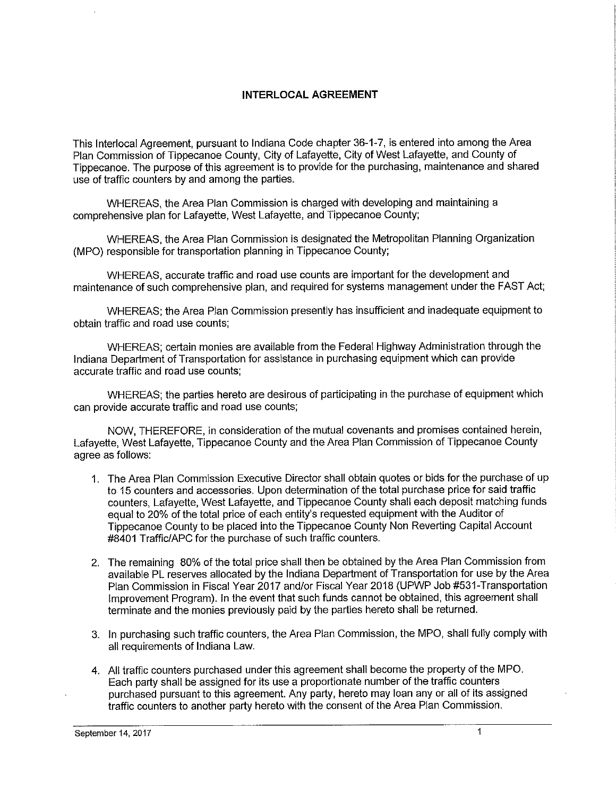## INTERLOCAL AGREEMENT

This Interlocal Agreement, pursuant to Indiana Code chapter 36-1—7, is entered into among the Area Plan Commission of Tippecanoe County, City of Lafayette, City of West Lafayette, and County of Tippecanoe. The purpose of this agreemen<sup>t</sup> is to provide for the purchasing, maintenance and shared use of traffic counters by and among the parties.

WHEREAS, the Area Plan Commission is charged with developing and maintaining <sup>a</sup> comprehensive plan for Lafayette, West Lafayette, and Tippecanoe County;

WHEREAS, the Area Plan Commission is designated the Metropolitan Planning Organization (MPO) responsible for transportation planning in Tippecanoe County;

WHEREAS, accurate traffic and road use counts are important for the development and maintenance of such comprehensive plan, and required for systems management under the FAST Act;

WHEREAS; the Area Plan Commission presently has insufficient and inadequate equipment to obtain traffic and road use counts;

WHEREAS; certain monies are available from the Federal Highway Administration through the Indiana Department of Transportation for assistance in purchasing equipment which can provide accurate traffic and road use counts;

WHEREAS; the parties hereto are desirous of participating in the purchase of equipment which can provide accurate traffic and road use counts;

NOW, THEREFORE, in consideration of the mutual covenants and promises contained herein, Lafayette, West Lafayette, Tippecanoe County and the Area Plan Commission of Tippecanoe County agree as follows:

- 'i. The Area Plan Commission Executive Director shall obtain quotes or bids for the purchase of up to '15 counters and accessories. Upon determination of the total purchase price for said traffic counters, Lafayette, West Lafayette, and Tippecanoe County shall each deposit matching funds equai to 20% of the total price of each entity's requested equipment with the Auditor of Tippecanoe County to be placed into the Tippecanoe County Non Reverting Capital Account #8401 Traffic/APC for the purchase of such traffic counters.
- 2. The remaining 80% of the total price shall then be obtained by the Area Plan Commission from available PL reserves allocated by the Indiana Department of Transportation foruse by the Area Plan Commission in Fiscal Year 2017 and/or Fiscal Year 2018 (UPWP Job #531-Transportation improvement Program). In the event that such funds cannot be obtained, this agreemen<sup>t</sup> shall terminate and the monies previously paid by the parties hereto shall be returned.
- 3. In purchasing such traffic counters, the Area Plan Commission, the MPO, shall fully comply with all requirements of Indiana Law.
- 4. All traffic counters purchased under this agreemen<sup>t</sup> shall become the property of the MPO. Each party shall be assigned for its use a proportionate number of the traffic counters purchased pursuant to this agreement. Any party, hereto may loan any or all of its assigned traffic counters to another party hereto with the consent of the Area Plan Commission.